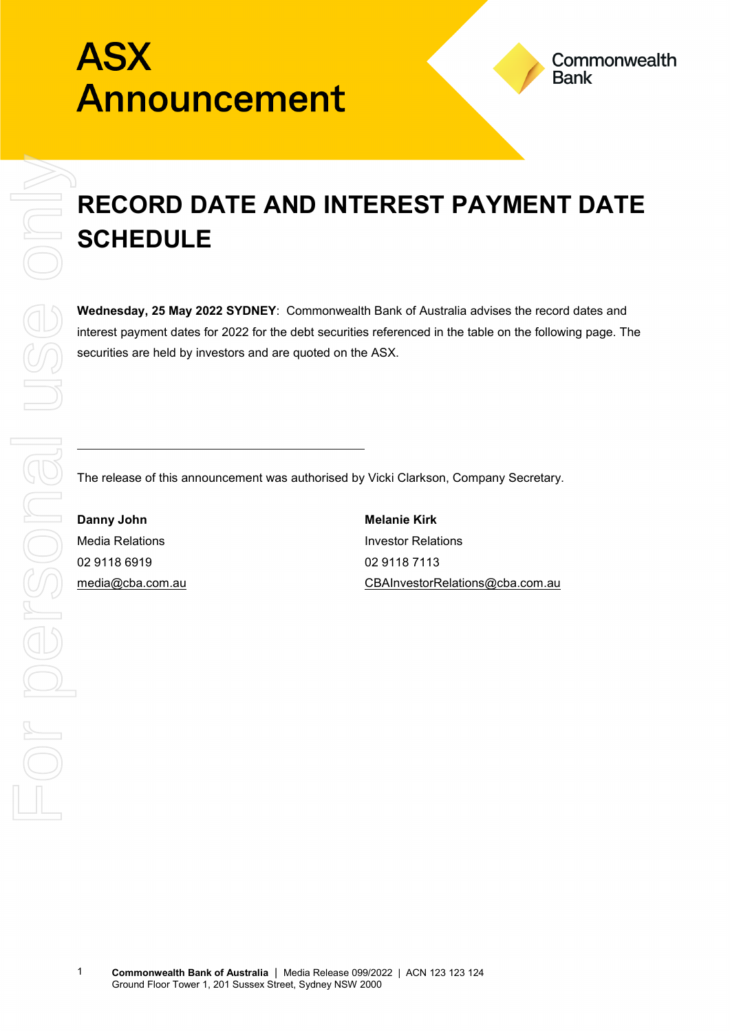## **ASX** Announcement

## **RECORD DATE AND INTEREST PAYMENT DATE SCHEDULE**

**Wednesday, 25 May 2022 SYDNEY**: Commonwealth Bank of Australia advises the record dates and interest payment dates for 2022 for the debt securities referenced in the table on the following page. The securities are held by investors and are quoted on the ASX.

The release of this announcement was authorised by Vicki Clarkson, Company Secretary.

**Danny John Melanie Kirk** Media Relations **Investor Relations** 02 9118 6919 02 9118 7113

[media@cba.com.au](mailto:media@cba.com.au) [CBAInvestorRelations@cba.com.au](mailto:CBAInvestorRelations@cba.com.au)